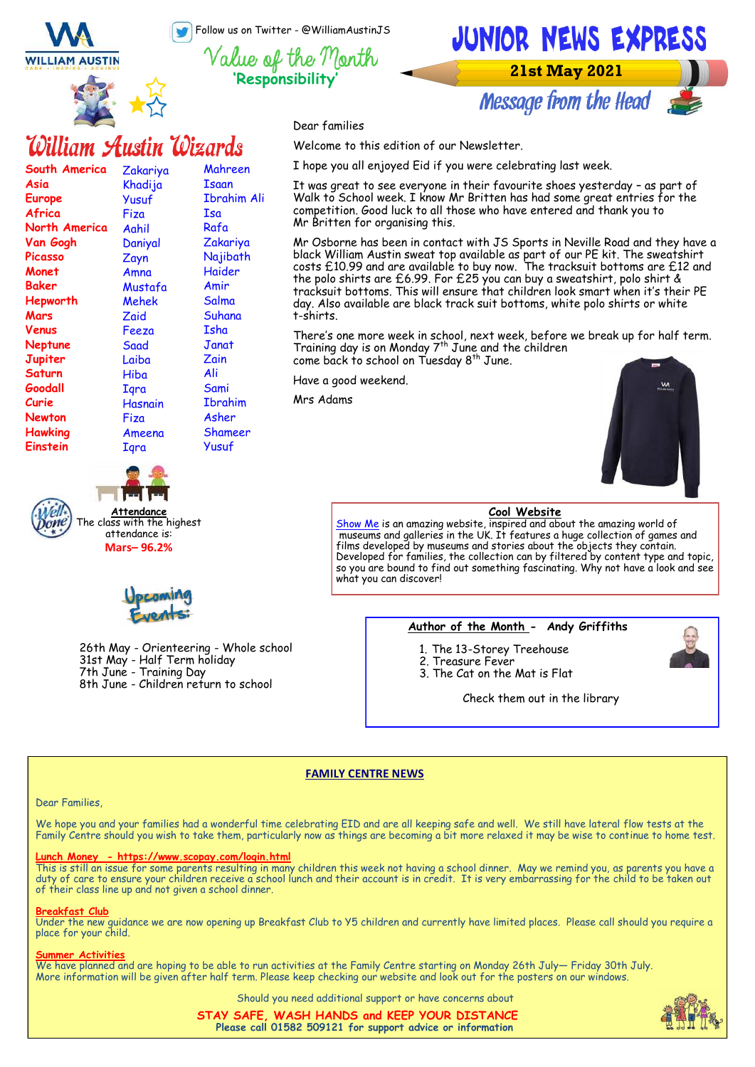Follow us on Twitter - @WilliamAustinJS

**'Responsibility'**

**WILLIAM AUSTIN** 

**South America**

**North America Van Gogh Picasso Monet Baker Hepworth Mars Venus Neptune Jupiter Saturn Goodall Curie Newton Hawking Einstein** 

**Asia Europe Africa** 



Zakariya Khadija Yusuf Fiza Aahil Daniyal Zayn Amna Mustafa Mehek Zaid Feeza Saad Laiba Hiba **I**qra Hasnain Fiza Ameena **I**ara

William Austin Wizards

Mahreen Isaan Ibrahim Ali

Isa Rafa Zakariya Najibath Haider Amir **Salma** Suhana Isha **Janat** Zain Ali Sami Ibrahim Asher Shameer Yusuf



**Message from the Head** 

Dear families

Welcome to this edition of our Newsletter.

I hope you all enjoyed Eid if you were celebrating last week.

It was great to see everyone in their favourite shoes yesterday – as part of Walk to School week. I know Mr Britten has had some great entries for the competition. Good luck to all those who have entered and thank you to Mr Britten for organising this.

Mr Osborne has been in contact with JS Sports in Neville Road and they have a black William Austin sweat top available as part of our PE kit. The sweatshirt costs £10.99 and are available to buy now. The tracksuit bottoms are £12 and the polo shirts are £6.99. For £25 you can buy a sweatshirt, polo shirt & tracksuit bottoms. This will ensure that children look smart when it's their PE day. Also available are black track suit bottoms, white polo shirts or white t-shirts.

There's one more week in school, next week, before we break up for half term. Training day is on Monday  $7<sup>th</sup>$  June and the children come back to school on Tuesday 8<sup>th</sup> June.

Have a good weekend.

Mrs Adams



### **Cool Website**

[Show Me](http://www.show.me.uk/) is an amazing website, inspired and about the amazing world of museums and galleries in the UK. It features a huge collection of games and films developed by museums and stories about the objects they contain. Developed for families, the collection can by filtered by content type and topic, so you are bound to find out something fascinating. Why not have a look and see what you can discover!

### **Author of the Month - Andy Griffiths**

- 1. The 13-Storey Treehouse
- 2. Treasure Fever
- 3. The Cat on the Mat is Flat

Check them out in the library

### **FAMILY CENTRE NEWS**

### Dear Families,

We hope you and your families had a wonderful time celebrating EID and are all keeping safe and well. We still have lateral flow tests at the Family Centre should you wish to take them, particularly now as things are becoming a bit more relaxed it may be wise to continue to home test.

### **Lunch Money - https://www.scopay.com/login.html**

26th May - Orienteering - Whole school

8th June - Children return to school

31st May - Half Term holiday 7th June - Training Day

**Attendance** The class with the highest attendance is: **Mars– 96.2%**

This is still an issue for some parents resulting in many children this week not having a school dinner. May we remind you, as parents you have a duty of care to ensure your children receive a school lunch and their account is in credit. It is very embarrassing for the child to be taken out of their class line up and not given a school dinner.

### **Breakfast Club**

Under the new guidance we are now opening up Breakfast Club to Y5 children and currently have limited places. Please call should you require a place for your child.

#### **Summer Activities**

We have planned and are hoping to be able to run activities at the Family Centre starting on Monday 26th July— Friday 30th July. More information will be given after half term. Please keep checking our website and look out for the posters on our windows.

Should you need additional support or have concerns about

**STAY SAFE, WASH HANDS and KEEP YOUR DISTANCE Please call 01582 509121 for support advice or information**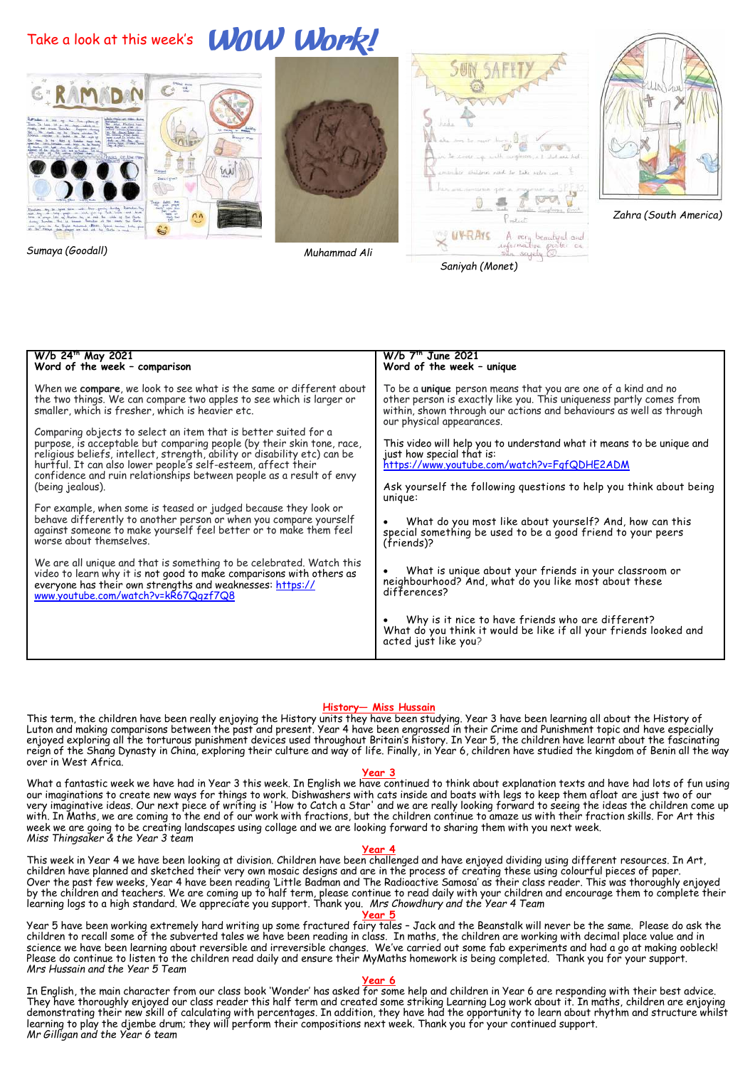## Take a look at this week's **WOW Work!**











*Zahra (South America)*

*Sumaya (Goodall)*

*Muhammad Ali* 



### **History— Miss Hussain**

This term, the children have been really enjoying the History units they have been studying. Year 3 have been learning all about the History of Luton and making comparisons between the past and present. Year 4 have been engrossed in their Crime and Punishment topic and have especially enjoyed exploring all the torturous punishment devices used throughout Britain's history. In Year 5, the children have learnt about the fascinating reign of the Shang Dynasty in China, exploring their culture and way of life. Finally, in Year 6, children have studied the kingdom of Benin all the way over in West Africa.

### **Year 3**

What a fantastic week we have had in Year 3 this week. In English we have continued to think about explanation texts and have had lots of fun using our imaginations to create new ways for things to work. Dishwashers with cats inside and boats with legs to keep them afloat are just two of our very imaginative ideas. Our next piece of writing is 'How to Catch a Star' and we are really looking forward to seeing the ideas the children come up with. In Maths, we are coming to the end of our work with fractions, but the children continue to amaze us with their fraction skills. For Art this week we are going to be creating landscapes using collage and we are looking forward to sharing them with you next week. *Miss Thingsaker & the Year 3 team*

### **Year 4**

This week in Year 4 we have been looking at division. Children have been challenged and have enjoyed dividing using different resources. In Art, children have planned and sketched their very own mosaic designs and are in the process of creating these using colourful pieces of paper. Over the past few weeks, Year 4 have been reading 'Little Badman and The Radioactive Samosa' as their class reader. This was thoroughly enjoyed by the children and teachers. We are coming up to half term, please continue to read daily with your children and encourage them to complete their learning logs to a high standard. We appreciate you support. Thank you. *Mrs Chowdhury and the Year 4 Team*

### **Year 5**

Year 5 have been working extremely hard writing up some fractured fairy tales – Jack and the Beanstalk will never be the same. Please do ask the children to recall some of the subverted tales we have been reading in class. In maths, the children are working with decimal place value and in science we have been learning about reversible and irreversible changes. We've carried out some fab experiments and had a go at making oobleck! Please do continue to listen to the children read daily and ensure their MyMaths homework is being completed. Thank you for your support. *Mrs Hussain and the Year 5 Team* 

### **Year 6**

In English, the main character from our class book 'Wonder' has asked for some help and children in Year 6 are responding with their best advice. They have thoroughly enjoyed our class reader this half term and created some striking Learning Log work about it. In maths, children are enjoying demonstrating their new skill of calculating with percentages. In addition, they have had the opportunity to learn about rhythm and structure whilst learning to play the djembe drum; they will perform their compositions next week. Thank you for your continued support. *Mr Gilligan and the Year 6 team*